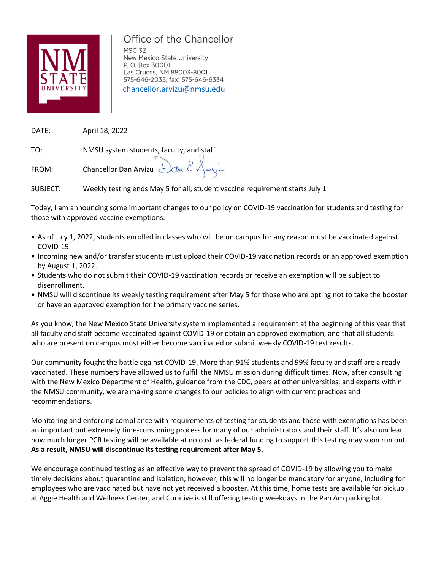

## Office of the Chancellor

MSC 3Z New Mexico State University P. O. Box 30001 Las Cruces, NM 88003-8001 575-646-2035, fax: 575-646-6334 [chancellor.arvizu@nmsu.edu](mailto:chancellor.arvizu@nmsu.edu)

DATE: April 18, 2022

TO: NMSU system students, faculty, and staff

FROM: Chancellor Dan Arvizu Dan  $\mathcal{E}$  Aunzie

SUBJECT: Weekly testing ends May 5 for all; student vaccine requirement starts July 1

Today, I am announcing some important changes to our policy on COVID-19 vaccination for students and testing for those with approved vaccine exemptions:

- As of July 1, 2022, students enrolled in classes who will be on campus for any reason must be vaccinated against COVID-19.
- Incoming new and/or transfer students must upload their COVID-19 vaccination records or an approved exemption by August 1, 2022.
- Students who do not submit their COVID-19 vaccination records or receive an exemption will be subject to disenrollment.
- NMSU will discontinue its weekly testing requirement after May 5 for those who are opting not to take the booster or have an approved exemption for the primary vaccine series.

As you know, the New Mexico State University system implemented a requirement at the beginning of this year that all faculty and staff become vaccinated against COVID-19 or obtain an approved exemption, and that all students who are present on campus must either become vaccinated or submit weekly COVID-19 test results.

Our community fought the battle against COVID-19. More than 91% students and 99% faculty and staff are already vaccinated. These numbers have allowed us to fulfill the NMSU mission during difficult times. Now, after consulting with the New Mexico Department of Health, guidance from the CDC, peers at other universities, and experts within the NMSU community, we are making some changes to our policies to align with current practices and recommendations.

Monitoring and enforcing compliance with requirements of testing for students and those with exemptions has been an important but extremely time-consuming process for many of our administrators and their staff. It's also unclear how much longer PCR testing will be available at no cost, as federal funding to support this testing may soon run out. **As a result, NMSU will discontinue its testing requirement after May 5.**

We encourage continued testing as an effective way to prevent the spread of COVID-19 by allowing you to make timely decisions about quarantine and isolation; however, this will no longer be mandatory for anyone, including for employees who are vaccinated but have not yet received a booster. At this time, home tests are available for pickup at Aggie Health and Wellness Center, and Curative is still offering testing weekdays in the Pan Am parking lot.